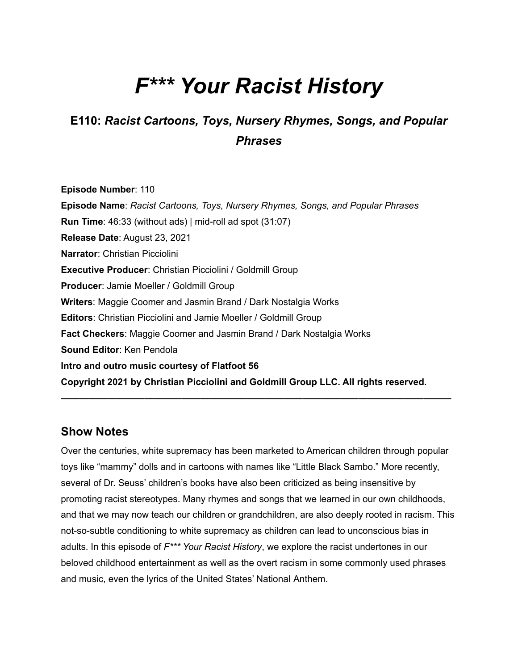# *F\*\*\* Your Racist History*

## **E110:** *Racist Cartoons, Toys, Nursery Rhymes, Songs, and Popular Phrases*

**Episode Number**: 110 **Episode Name**: *Racist Cartoons, Toys, Nursery Rhymes, Songs, and Popular Phrases* **Run Time**: 46:33 (without ads) | mid-roll ad spot (31:07) **Release Date**: August 23, 2021 **Narrator**: Christian Picciolini **Executive Producer**: Christian Picciolini / Goldmill Group **Producer**: Jamie Moeller / Goldmill Group **Writers**: Maggie Coomer and Jasmin Brand / Dark Nostalgia Works **Editors**: Christian Picciolini and Jamie Moeller / Goldmill Group **Fact Checkers**: Maggie Coomer and Jasmin Brand / Dark Nostalgia Works **Sound Editor**: Ken Pendola **Intro and outro music courtesy of Flatfoot 56 Copyright 2021 by Christian Picciolini and Goldmill Group LLC. All rights reserved.**

#### **Show Notes**

Over the centuries, white supremacy has been marketed to American children through popular toys like "mammy" dolls and in cartoons with names like "Little Black Sambo." More recently, several of Dr. Seuss' children's books have also been criticized as being insensitive by promoting racist stereotypes. Many rhymes and songs that we learned in our own childhoods, and that we may now teach our children or grandchildren, are also deeply rooted in racism. This not-so-subtle conditioning to white supremacy as children can lead to unconscious bias in adults. In this episode of *F\*\*\* Your Racist History*, we explore the racist undertones in our beloved childhood entertainment as well as the overt racism in some commonly used phrases and music, even the lyrics of the United States' National Anthem.

**——————————————————————————————————————————**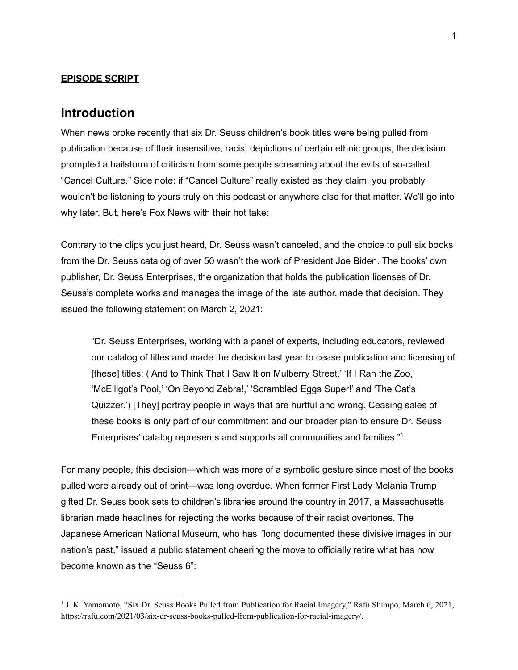#### **EPISODE SCRIPT**

#### **Introduction**

When news broke recently that six Dr. Seuss children's book titles were being pulled from publication because of their insensitive, racist depictions of certain ethnic groups, the decision prompted a hailstorm of criticism from some people screaming about the evils of so-called "Cancel Culture." Side note: if "Cancel Culture" really existed as they claim, you probably wouldn't be listening to yours truly on this podcast or anywhere else for that matter. We'll go into why later. But, here's Fox News with their hot take:

Contrary to the clips you just heard, Dr. Seuss wasn't canceled, and the choice to pull six books from the Dr. Seuss catalog of over 50 wasn't the work of President Joe Biden. The books' own publisher, Dr. Seuss Enterprises, the organization that holds the publication licenses of Dr. Seuss's complete works and manages the image of the late author, made that decision. They issued the following statement on March 2, 2021:

"Dr. Seuss Enterprises, working with a panel of experts, including educators, reviewed our catalog of titles and made the decision last year to cease publication and licensing of [these] titles: ('And to Think That I Saw It on Mulberry Street,' 'If I Ran the Zoo,' 'McElligot's Pool,' 'On Beyond Zebra!,' 'Scrambled Eggs Super!' and 'The Cat's Quizzer.') [They] portray people in ways that are hurtful and wrong. Ceasing sales of these books is only part of our commitment and our broader plan to ensure Dr. Seuss Enterprises' catalog represents and supports all communities and families." 1

For many people, this decision—which was more of a symbolic gesture since most of the books pulled were already out of print—was long overdue. When former First Lady Melania Trump gifted Dr. Seuss book sets to children's libraries around the country in 2017, a Massachusetts librarian made headlines for rejecting the works because of their racist overtones. The Japanese American National Museum, who has *"*long documented these divisive images in our nation's past," issued a public statement cheering the move to officially retire what has now become known as the "Seuss 6":

<sup>&</sup>lt;sup>1</sup> J. K. Yamamoto, "Six Dr. Seuss Books Pulled from Publication for Racial Imagery," Rafu Shimpo, March 6, 2021, <https://rafu.com/2021/03/six-dr-seuss-books-pulled-from-publication-for-racial-imagery/>.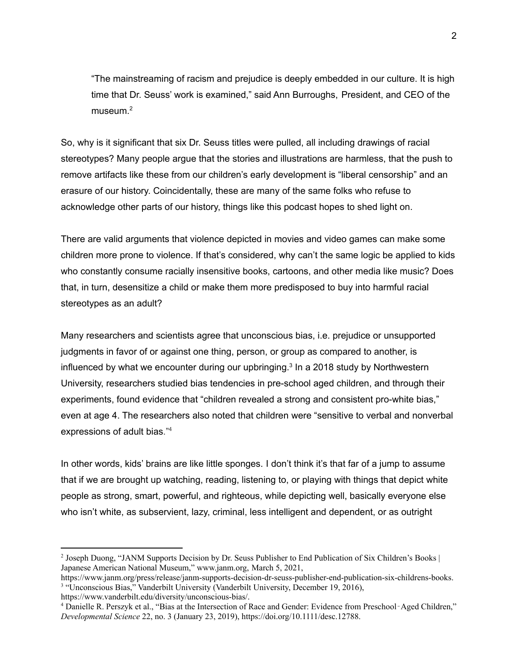"The mainstreaming of racism and prejudice is deeply embedded in our culture. It is high time that Dr. Seuss' work is examined," said Ann Burroughs, President, and CEO of the museum. 2

So, why is it significant that six Dr. Seuss titles were pulled, all including drawings of racial stereotypes? Many people argue that the stories and illustrations are harmless, that the push to remove artifacts like these from our children's early development is "liberal censorship" and an erasure of our history. Coincidentally, these are many of the same folks who refuse to acknowledge other parts of our history, things like this podcast hopes to shed light on.

There are valid arguments that violence depicted in movies and video games can make some children more prone to violence. If that's considered, why can't the same logic be applied to kids who constantly consume racially insensitive books, cartoons, and other media like music? Does that, in turn, desensitize a child or make them more predisposed to buy into harmful racial stereotypes as an adult?

Many researchers and scientists agree that unconscious bias, i.e. prejudice or unsupported judgments in favor of or against one thing, person, or group as compared to another, is influenced by what we encounter during our upbringing. 3 In a 2018 study by Northwestern University, researchers studied bias tendencies in pre-school aged children, and through their experiments, found evidence that "children revealed a strong and consistent pro-white bias," even at age 4. The researchers also noted that children were "sensitive to verbal and nonverbal expressions of adult bias." 4

In other words, kids' brains are like little sponges. I don't think it's that far of a jump to assume that if we are brought up watching, reading, listening to, or playing with things that depict white people as strong, smart, powerful, and righteous, while depicting well, basically everyone else who isn't white, as subservient, lazy, criminal, less intelligent and dependent, or as outright

<sup>&</sup>lt;sup>2</sup> Joseph Duong, "JANM Supports Decision by Dr. Seuss Publisher to End Publication of Six Children's Books | Japanese American National Museum," www.janm.org, March 5, 2021,

<sup>&</sup>lt;sup>3</sup> "Unconscious Bias," Vanderbilt University (Vanderbilt University, December 19, 2016), [https://www.janm.org/press/release/janm-supports-decision-dr-seuss-publisher-end-publication-six-childrens-books.](https://www.janm.org/press/release/janm-supports-decision-dr-seuss-publisher-end-publication-six-childrens-books)

[https://www.vanderbilt.edu/diversity/unconscious-bias/.](https://www.vanderbilt.edu/diversity/unconscious-bias/)

<sup>4</sup> Danielle R. Perszyk et al., "Bias at the Intersection of Race and Gender: Evidence from Preschool‐Aged Children," *Developmental Science* 22, no. 3 (January 23, 2019), https://doi.org/[10.1111/desc.12788](https://www.mybib.com/10.1111/desc.12788).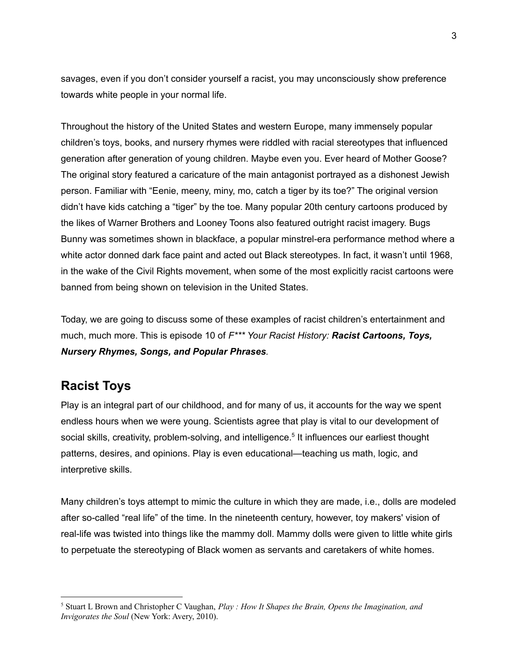savages, even if you don't consider yourself a racist, you may unconsciously show preference towards white people in your normal life.

Throughout the history of the United States and western Europe, many immensely popular children's toys, books, and nursery rhymes were riddled with racial stereotypes that influenced generation after generation of young children. Maybe even you. Ever heard of Mother Goose? The original story featured a caricature of the main antagonist portrayed as a dishonest Jewish person. Familiar with "Eenie, meeny, miny, mo, catch a tiger by its toe?" The original version didn't have kids catching a "tiger" by the toe. Many popular 20th century cartoons produced by the likes of Warner Brothers and Looney Toons also featured outright racist imagery. Bugs Bunny was sometimes shown in blackface, a popular minstrel-era performance method where a white actor donned dark face paint and acted out Black stereotypes. In fact, it wasn't until 1968, in the wake of the Civil Rights movement, when some of the most explicitly racist cartoons were banned from being shown on television in the United States.

Today, we are going to discuss some of these examples of racist children's entertainment and much, much more. This is episode 10 of *F\*\*\* Your Racist History: Racist Cartoons, Toys, Nursery Rhymes, Songs, and Popular Phrases.*

## **Racist Toys**

Play is an integral part of our childhood, and for many of us, it accounts for the way we spent endless hours when we were young. Scientists agree that play is vital to our development of social skills, creativity, problem-solving, and intelligence.<sup>5</sup> It influences our earliest thought patterns, desires, and opinions. Play is even educational—teaching us math, logic, and interpretive skills.

Many children's toys attempt to mimic the culture in which they are made, i.e., dolls are modeled after so-called "real life" of the time. In the nineteenth century, however, toy makers' vision of real-life was twisted into things like the mammy doll. Mammy dolls were given to little white girls to perpetuate the stereotyping of Black women as servants and caretakers of white homes.

<sup>5</sup> Stuart L Brown and Christopher C Vaughan, *Play : How It Shapes the Brain, Opens the Imagination, and Invigorates the Soul* (New York: Avery, 2010).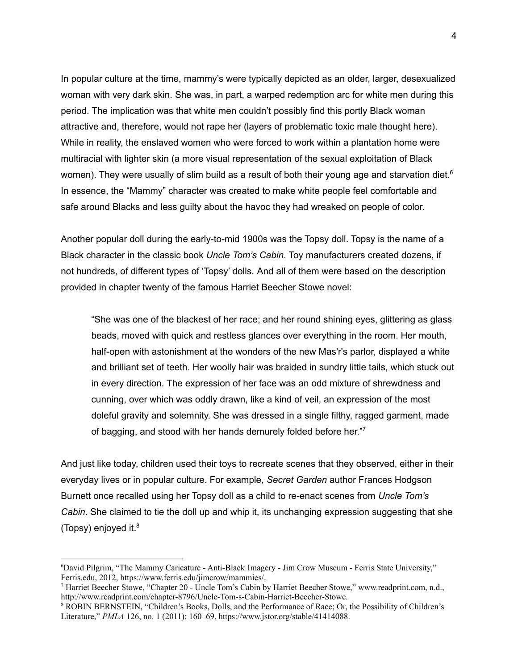In popular culture at the time, mammy's were typically depicted as an older, larger, desexualized woman with very dark skin. She was, in part, a warped redemption arc for white men during this period. The implication was that white men couldn't possibly find this portly Black woman attractive and, therefore, would not rape her (layers of problematic toxic male thought here). While in reality, the enslaved women who were forced to work within a plantation home were multiracial with lighter skin (a more visual representation of the sexual exploitation of Black women). They were usually of slim build as a result of both their young age and starvation diet.<sup>6</sup> In essence, the "Mammy" character was created to make white people feel comfortable and safe around Blacks and less guilty about the havoc they had wreaked on people of color.

Another popular doll during the early-to-mid 1900s was the Topsy doll. Topsy is the name of a Black character in the classic book *Uncle Tom's Cabin*. Toy manufacturers created dozens, if not hundreds, of different types of 'Topsy' dolls. And all of them were based on the description provided in chapter twenty of the famous Harriet Beecher Stowe novel:

"She was one of the blackest of her race; and her round shining eyes, glittering as glass beads, moved with quick and restless glances over everything in the room. Her mouth, half-open with astonishment at the wonders of the new Mas'r's parlor, displayed a white and brilliant set of teeth. Her woolly hair was braided in sundry little tails, which stuck out in every direction. The expression of her face was an odd mixture of shrewdness and cunning, over which was oddly drawn, like a kind of veil, an expression of the most doleful gravity and solemnity. She was dressed in a single filthy, ragged garment, made of bagging, and stood with her hands demurely folded before her."7

And just like today, children used their toys to recreate scenes that they observed, either in their everyday lives or in popular culture. For example, *Secret Garden* author Frances Hodgson Burnett once recalled using her Topsy doll as a child to re-enact scenes from *Uncle Tom's Cabin*. She claimed to tie the doll up and whip it, its unchanging expression suggesting that she (Topsy) enjoyed it. 8

<sup>&</sup>lt;sup>6</sup>David Pilgrim, "The Mammy Caricature - Anti-Black Imagery - Jim Crow Museum - Ferris State University," Ferris.edu, 2012, <https://www.ferris.edu/jimcrow/mammies/>.

<sup>7</sup> Harriet Beecher Stowe, "Chapter 20 - Uncle Tom's Cabin by Harriet Beecher Stowe," www.readprint.com, n.d., [http://www.readprint.com/chapter-8796/Uncle-Tom-s-Cabin-Harriet-Beecher-Stowe.](http://www.readprint.com/chapter-8796/Uncle-Tom-s-Cabin-Harriet-Beecher-Stowe)

<sup>8</sup> ROBIN BERNSTEIN, "Children's Books, Dolls, and the Performance of Race; Or, the Possibility of Children's Literature," *PMLA* 126, no. 1 (2011): 160–69, <https://www.jstor.org/stable/41414088>.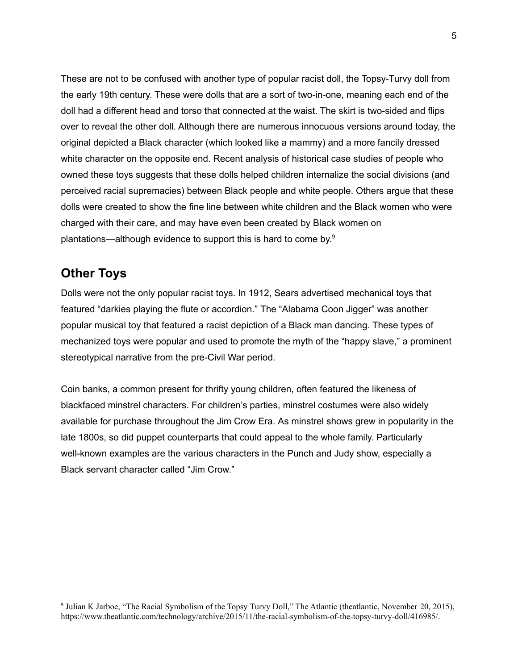These are not to be confused with another type of popular racist doll, the Topsy-Turvy doll from the early 19th century. These were dolls that are a sort of two-in-one, meaning each end of the doll had a different head and torso that connected at the waist. The skirt is two-sided and flips over to reveal the other doll. Although there are numerous innocuous versions around today, the original depicted a Black character (which looked like a mammy) and a more fancily dressed white character on the opposite end. Recent analysis of historical case studies of people who owned these toys suggests that these dolls helped children internalize the social divisions (and perceived racial supremacies) between Black people and white people. Others argue that these dolls were created to show the fine line between white children and the Black women who were charged with their care, and may have even been created by Black women on plantations—although evidence to support this is hard to come by.<sup>9</sup>

#### **Other Toys**

Dolls were not the only popular racist toys. In 1912, Sears advertised mechanical toys that featured "darkies playing the flute or accordion." The "Alabama Coon Jigger" was another popular musical toy that featured a racist depiction of a Black man dancing. These types of mechanized toys were popular and used to promote the myth of the "happy slave," a prominent stereotypical narrative from the pre-Civil War period.

Coin banks, a common present for thrifty young children, often featured the likeness of blackfaced minstrel characters. For children's parties, minstrel costumes were also widely available for purchase throughout the Jim Crow Era. As minstrel shows grew in popularity in the late 1800s, so did puppet counterparts that could appeal to the whole family. Particularly well-known examples are the various characters in the Punch and Judy show, especially a Black servant character called "Jim Crow."

<sup>9</sup> Julian K Jarboe, "The Racial Symbolism of the Topsy Turvy Doll," The Atlantic (theatlantic, November 20, 2015), [https://www.theatlantic.com/technology/archive/2015/11/the-racial-symbolism-of-the-topsy-turvy-doll/416985/.](https://www.theatlantic.com/technology/archive/2015/11/the-racial-symbolism-of-the-topsy-turvy-doll/416985/)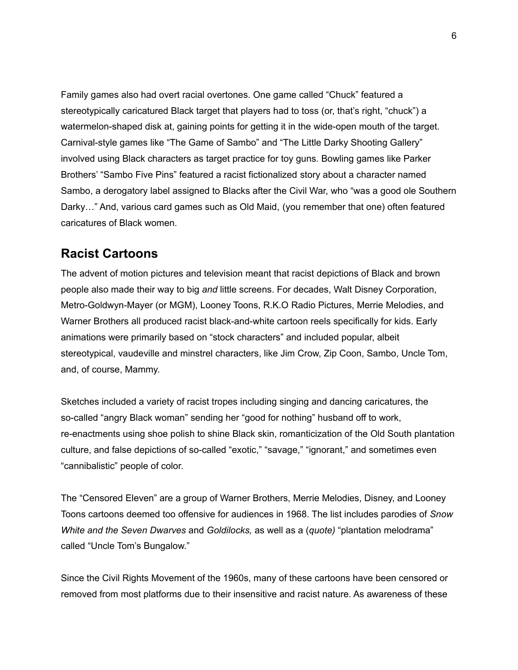Family games also had overt racial overtones. One game called "Chuck" featured a stereotypically caricatured Black target that players had to toss (or, that's right, "chuck") a watermelon-shaped disk at, gaining points for getting it in the wide-open mouth of the target. Carnival-style games like "The Game of Sambo" and "The Little Darky Shooting Gallery" involved using Black characters as target practice for toy guns. Bowling games like Parker Brothers' "Sambo Five Pins" featured a racist fictionalized story about a character named Sambo, a derogatory label assigned to Blacks after the Civil War, who "was a good ole Southern Darky…" And, various card games such as Old Maid, (you remember that one) often featured caricatures of Black women.

#### **Racist Cartoons**

The advent of motion pictures and television meant that racist depictions of Black and brown people also made their way to big *and* little screens. For decades, Walt Disney Corporation, Metro-Goldwyn-Mayer (or MGM), Looney Toons, R.K.O Radio Pictures, Merrie Melodies, and Warner Brothers all produced racist black-and-white cartoon reels specifically for kids. Early animations were primarily based on "stock characters" and included popular, albeit stereotypical, vaudeville and minstrel characters, like Jim Crow, Zip Coon, Sambo, Uncle Tom, and, of course, Mammy.

Sketches included a variety of racist tropes including singing and dancing caricatures, the so-called "angry Black woman" sending her "good for nothing" husband off to work, re-enactments using shoe polish to shine Black skin, romanticization of the Old South plantation culture, and false depictions of so-called "exotic," "savage," "ignorant," and sometimes even "cannibalistic" people of color.

The "Censored Eleven" are a group of Warner Brothers, Merrie Melodies, Disney, and Looney Toons cartoons deemed too offensive for audiences in 1968. The list includes parodies of *Snow White and the Seven Dwarves* and *Goldilocks,* as well as a (*quote)* "plantation melodrama" called "Uncle Tom's Bungalow."

Since the Civil Rights Movement of the 1960s, many of these cartoons have been censored or removed from most platforms due to their insensitive and racist nature. As awareness of these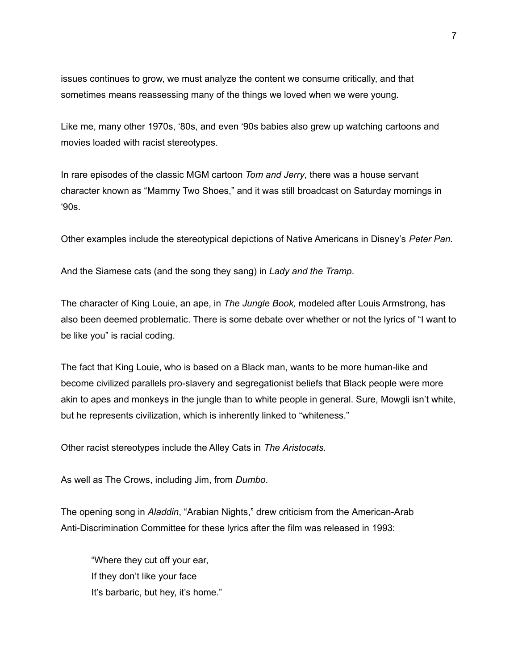issues continues to grow, we must analyze the content we consume critically, and that sometimes means reassessing many of the things we loved when we were young.

Like me, many other 1970s, '80s, and even '90s babies also grew up watching cartoons and movies loaded with racist stereotypes.

In rare episodes of the classic MGM cartoon *Tom and Jerry*, there was a house servant character known as "Mammy Two Shoes," and it was still broadcast on Saturday mornings in '90s.

Other examples include the stereotypical depictions of Native Americans in Disney's *Peter Pan.*

And the Siamese cats (and the song they sang) in *Lady and the Tramp*.

The character of King Louie, an ape, in *The Jungle Book,* modeled after Louis Armstrong, has also been deemed problematic. There is some debate over whether or not the lyrics of "I want to be like you" is racial coding.

The fact that King Louie, who is based on a Black man, wants to be more human-like and become civilized parallels pro-slavery and segregationist beliefs that Black people were more akin to apes and monkeys in the jungle than to white people in general. Sure, Mowgli isn't white, but he represents civilization, which is inherently linked to "whiteness."

Other racist stereotypes include the Alley Cats in *The Aristocats*.

As well as The Crows, including Jim, from *Dumbo*.

The opening song in *Aladdin*, "Arabian Nights," drew criticism from the American-Arab Anti-Discrimination Committee for these lyrics after the film was released in 1993:

"Where they cut off your ear, If they don't like your face It's barbaric, but hey, it's home."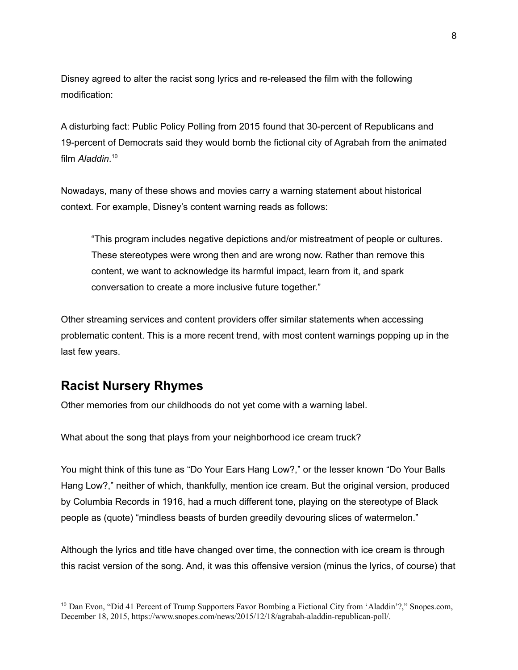Disney agreed to alter the racist song lyrics and re-released the film with the following modification:

A disturbing fact: Public Policy Polling from 2015 found that 30-percent of Republicans and 19-percent of Democrats said they would bomb the fictional city of Agrabah from the animated film *Aladdin*. 10

Nowadays, many of these shows and movies carry a warning statement about historical context. For example, Disney's content warning reads as follows:

"This program includes negative depictions and/or mistreatment of people or cultures. These stereotypes were wrong then and are wrong now. Rather than remove this content, we want to acknowledge its harmful impact, learn from it, and spark conversation to create a more inclusive future together."

Other streaming services and content providers offer similar statements when accessing problematic content. This is a more recent trend, with most content warnings popping up in the last few years.

## **Racist Nursery Rhymes**

Other memories from our childhoods do not yet come with a warning label.

What about the song that plays from your neighborhood ice cream truck?

You might think of this tune as "Do Your Ears Hang Low?," or the lesser known "Do Your Balls Hang Low?," neither of which, thankfully, mention ice cream. But the original version, produced by Columbia Records in 1916, had a much different tone, playing on the stereotype of Black people as (quote) "mindless beasts of burden greedily devouring slices of watermelon."

Although the lyrics and title have changed over time, the connection with ice cream is through this racist version of the song. And, it was this offensive version (minus the lyrics, of course) that

<sup>10</sup> Dan Evon, "Did 41 Percent of Trump Supporters Favor Bombing a Fictional City from 'Aladdin'?," Snopes.com, December 18, 2015, [https://www.snopes.com/news/2015/12/18/agrabah-aladdin-republican-poll/.](https://www.snopes.com/news/2015/12/18/agrabah-aladdin-republican-poll/)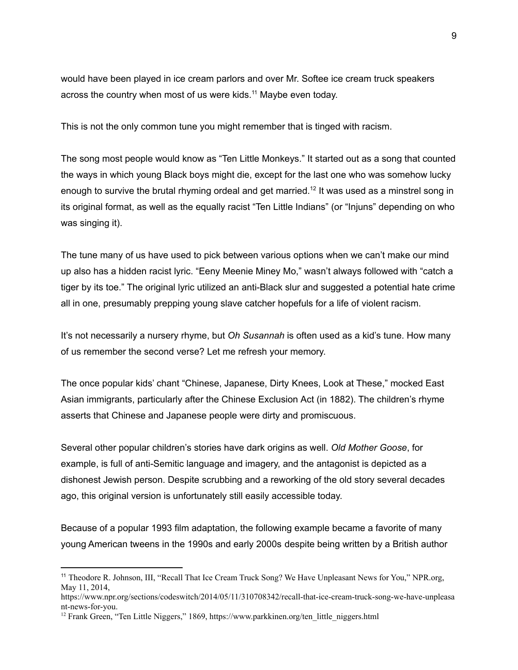would have been played in ice cream parlors and over Mr. Softee ice cream truck speakers across the country when most of us were kids.<sup>11</sup> Maybe even today.

This is not the only common tune you might remember that is tinged with racism.

The song most people would know as "Ten Little Monkeys." It started out as a song that counted the ways in which young Black boys might die, except for the last one who was somehow lucky enough to survive the brutal rhyming ordeal and get married.<sup>12</sup> It was used as a minstrel song in its original format, as well as the equally racist "Ten Little Indians" (or "Injuns" depending on who was singing it).

The tune many of us have used to pick between various options when we can't make our mind up also has a hidden racist lyric. "Eeny Meenie Miney Mo," wasn't always followed with "catch a tiger by its toe." The original lyric utilized an anti-Black slur and suggested a potential hate crime all in one, presumably prepping young slave catcher hopefuls for a life of violent racism.

It's not necessarily a nursery rhyme, but *Oh Susannah* is often used as a kid's tune. How many of us remember the second verse? Let me refresh your memory.

The once popular kids' chant "Chinese, Japanese, Dirty Knees, Look at These," mocked East Asian immigrants, particularly after the Chinese Exclusion Act (in 1882). The children's rhyme asserts that Chinese and Japanese people were dirty and promiscuous.

Several other popular children's stories have dark origins as well. *Old Mother Goose*, for example, is full of anti-Semitic language and imagery, and the antagonist is depicted as a dishonest Jewish person. Despite scrubbing and a reworking of the old story several decades ago, this original version is unfortunately still easily accessible today.

Because of a popular 1993 film adaptation, the following example became a favorite of many young American tweens in the 1990s and early 2000s despite being written by a British author

<sup>&</sup>lt;sup>11</sup> Theodore R. Johnson, III, "Recall That Ice Cream Truck Song? We Have Unpleasant News for You," NPR.org, May 11, 2014,

[https://www.npr.org/sections/codeswitch/2014/05/11/310708342/recall-that-ice-cream-truck-song-we-have-unpleasa](https://www.npr.org/sections/codeswitch/2014/05/11/310708342/recall-that-ice-cream-truck-song-we-have-unpleasant-news-for-you) [nt-news-for-you.](https://www.npr.org/sections/codeswitch/2014/05/11/310708342/recall-that-ice-cream-truck-song-we-have-unpleasant-news-for-you)

<sup>&</sup>lt;sup>12</sup> Frank Green, "Ten Little Niggers," 1869, https://www.parkkinen.org/ten\_little\_niggers.html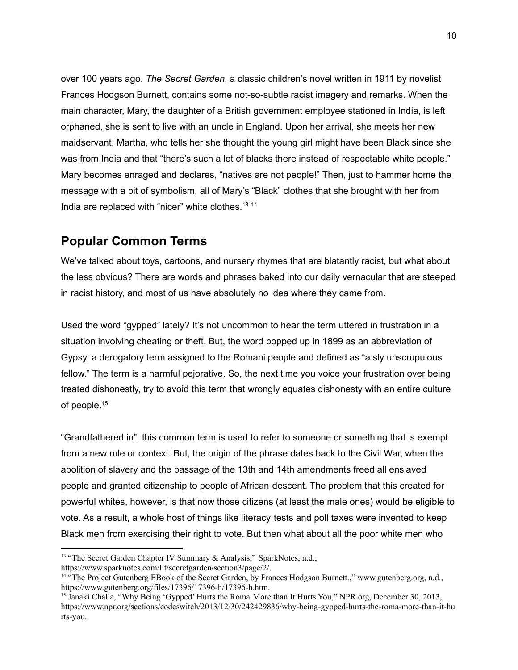over 100 years ago. *The Secret Garden*, a classic children's novel written in 1911 by novelist Frances Hodgson Burnett, contains some not-so-subtle racist imagery and remarks. When the main character, Mary, the daughter of a British government employee stationed in India, is left orphaned, she is sent to live with an uncle in England. Upon her arrival, she meets her new maidservant, Martha, who tells her she thought the young girl might have been Black since she was from India and that "there's such a lot of blacks there instead of respectable white people." Mary becomes enraged and declares, "natives are not people!" Then, just to hammer home the message with a bit of symbolism, all of Mary's "Black" clothes that she brought with her from India are replaced with "nicer" white clothes.<sup>13 14</sup>

## **Popular Common Terms**

We've talked about toys, cartoons, and nursery rhymes that are blatantly racist, but what about the less obvious? There are words and phrases baked into our daily vernacular that are steeped in racist history, and most of us have absolutely no idea where they came from.

Used the word "gypped" lately? It's not uncommon to hear the term uttered in frustration in a situation involving cheating or theft. But, the word popped up in 1899 as an abbreviation of Gypsy, a derogatory term assigned to the Romani people and defined as "a sly unscrupulous fellow." The term is a harmful pejorative. So, the next time you voice your frustration over being treated dishonestly, try to avoid this term that wrongly equates dishonesty with an entire culture of people. 15

"Grandfathered in": this common term is used to refer to someone or something that is exempt from a new rule or context. But, the origin of the phrase dates back to the Civil War, when the abolition of slavery and the passage of the 13th and 14th amendments freed all enslaved people and granted citizenship to people of African descent. The problem that this created for powerful whites, however, is that now those citizens (at least the male ones) would be eligible to vote. As a result, a whole host of things like literacy tests and poll taxes were invented to keep Black men from exercising their right to vote. But then what about all the poor white men who

<sup>&</sup>lt;sup>13</sup> "The Secret Garden Chapter IV Summary & Analysis," SparkNotes, n.d.,

<https://www.sparknotes.com/lit/secretgarden/section3/page/2/>.

<sup>&</sup>lt;sup>14</sup> "The Project Gutenberg EBook of the Secret Garden, by Frances Hodgson Burnett.," www.gutenberg.org, n.d., [https://www.gutenberg.org/files/17396/17396-h/17396-h.htm.](https://www.gutenberg.org/files/17396/17396-h/17396-h.htm)

<sup>&</sup>lt;sup>15</sup> Janaki Challa, "Why Being 'Gypped' Hurts the Roma More than It Hurts You," NPR.org, December 30, 2013, [https://www.npr.org/sections/codeswitch/2013/12/30/242429836/why-being-gypped-hurts-the-roma-more-than-it-hu](https://www.npr.org/sections/codeswitch/2013/12/30/242429836/why-being-gypped-hurts-the-roma-more-than-it-hurts-you) [rts-you](https://www.npr.org/sections/codeswitch/2013/12/30/242429836/why-being-gypped-hurts-the-roma-more-than-it-hurts-you).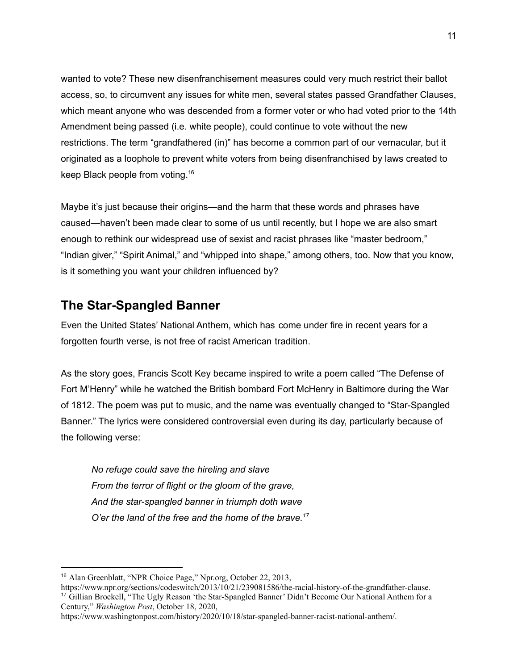wanted to vote? These new disenfranchisement measures could very much restrict their ballot access, so, to circumvent any issues for white men, several states passed Grandfather Clauses, which meant anyone who was descended from a former voter or who had voted prior to the 14th Amendment being passed (i.e. white people), could continue to vote without the new restrictions. The term "grandfathered (in)" has become a common part of our vernacular, but it originated as a loophole to prevent white voters from being disenfranchised by laws created to keep Black people from voting. 16

Maybe it's just because their origins—and the harm that these words and phrases have caused—haven't been made clear to some of us until recently, but I hope we are also smart enough to rethink our widespread use of sexist and racist phrases like "master bedroom," "Indian giver," "Spirit Animal," and "whipped into shape," among others, too. Now that you know, is it something you want your children influenced by?

## **The Star-Spangled Banner**

Even the United States' National Anthem, which has come under fire in recent years for a forgotten fourth verse, is not free of racist American tradition.

As the story goes, Francis Scott Key became inspired to write a poem called "The Defense of Fort M'Henry" while he watched the British bombard Fort McHenry in Baltimore during the War of 1812. The poem was put to music, and the name was eventually changed to "Star-Spangled Banner." The lyrics were considered controversial even during its day, particularly because of the following verse:

*No refuge could save the hireling and slave From the terror of flight or the gloom of the grave, And the star-spangled banner in triumph doth wave O'er the land of the free and the home of the brave. 17*

<sup>16</sup> Alan Greenblatt, "NPR Choice Page," Npr.org, October 22, 2013,

<sup>17</sup> Gillian Brockell, "The Ugly Reason 'the Star-Spangled Banner' Didn't Become Our National Anthem for a Century," *Washington Post*, October 18, 2020, [https://www.npr.org/sections/codeswitch/2013/10/21/239081586/the-racial-history-of-the-grandfather-clause.](https://www.npr.org/sections/codeswitch/2013/10/21/239081586/the-racial-history-of-the-grandfather-clause)

[https://www.washingtonpost.com/history/2020/10/18/star-spangled-banner-racist-national-anthem/.](https://www.washingtonpost.com/history/2020/10/18/star-spangled-banner-racist-national-anthem/)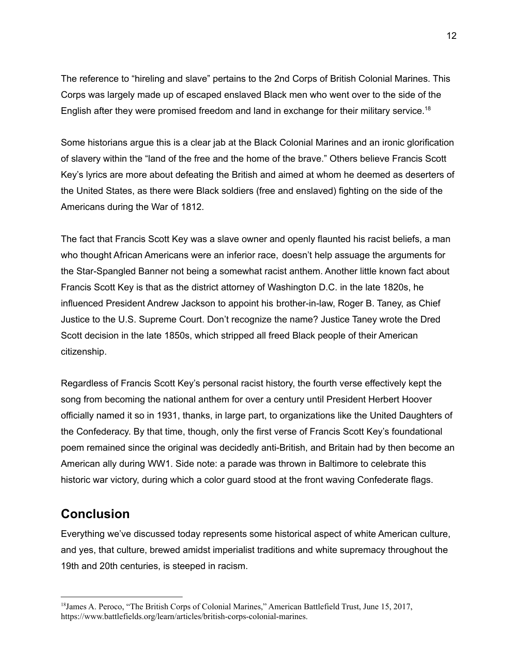The reference to "hireling and slave" pertains to the 2nd Corps of British Colonial Marines. This Corps was largely made up of escaped enslaved Black men who went over to the side of the English after they were promised freedom and land in exchange for their military service.<sup>18</sup>

Some historians argue this is a clear jab at the Black Colonial Marines and an ironic glorification of slavery within the "land of the free and the home of the brave." Others believe Francis Scott Key's lyrics are more about defeating the British and aimed at whom he deemed as deserters of the United States, as there were Black soldiers (free and enslaved) fighting on the side of the Americans during the War of 1812.

The fact that Francis Scott Key was a slave owner and openly flaunted his racist beliefs, a man who thought African Americans were an inferior race, doesn't help assuage the arguments for the Star-Spangled Banner not being a somewhat racist anthem. Another little known fact about Francis Scott Key is that as the district attorney of Washington D.C. in the late 1820s, he influenced President Andrew Jackson to appoint his brother-in-law, Roger B. Taney, as Chief Justice to the U.S. Supreme Court. Don't recognize the name? Justice Taney wrote the Dred Scott decision in the late 1850s, which stripped all freed Black people of their American citizenship.

Regardless of Francis Scott Key's personal racist history, the fourth verse effectively kept the song from becoming the national anthem for over a century until President Herbert Hoover officially named it so in 1931, thanks, in large part, to organizations like the United Daughters of the Confederacy. By that time, though, only the first verse of Francis Scott Key's foundational poem remained since the original was decidedly anti-British, and Britain had by then become an American ally during WW1. Side note: a parade was thrown in Baltimore to celebrate this historic war victory, during which a color guard stood at the front waving Confederate flags.

## **Conclusion**

Everything we've discussed today represents some historical aspect of white American culture, and yes, that culture, brewed amidst imperialist traditions and white supremacy throughout the 19th and 20th centuries, is steeped in racism.

<sup>18</sup>James A. Peroco, "The British Corps of Colonial Marines," American Battlefield Trust, June 15, 2017, [https://www.battlefields.org/learn/articles/british-corps-colonial-marines.](https://www.battlefields.org/learn/articles/british-corps-colonial-marines)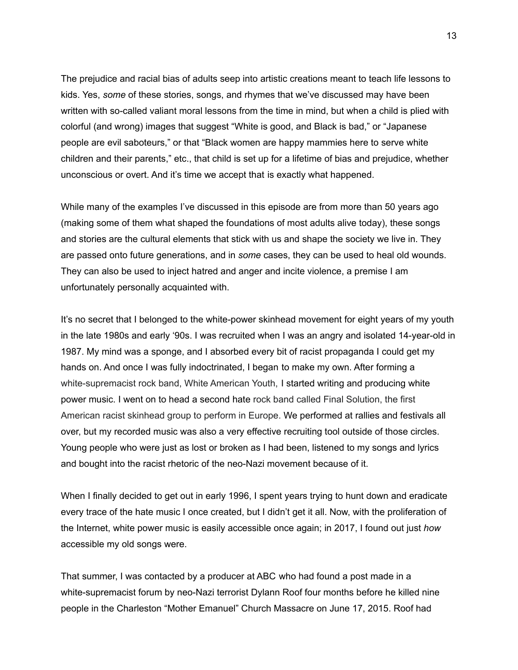The prejudice and racial bias of adults seep into artistic creations meant to teach life lessons to kids. Yes, *some* of these stories, songs, and rhymes that we've discussed may have been written with so-called valiant moral lessons from the time in mind, but when a child is plied with colorful (and wrong) images that suggest "White is good, and Black is bad," or "Japanese people are evil saboteurs," or that "Black women are happy mammies here to serve white children and their parents," etc., that child is set up for a lifetime of bias and prejudice, whether unconscious or overt. And it's time we accept that is exactly what happened.

While many of the examples I've discussed in this episode are from more than 50 years ago (making some of them what shaped the foundations of most adults alive today), these songs and stories are the cultural elements that stick with us and shape the society we live in. They are passed onto future generations, and in *some* cases, they can be used to heal old wounds. They can also be used to inject hatred and anger and incite violence, a premise I am unfortunately personally acquainted with.

It's no secret that I belonged to the white-power skinhead movement for eight years of my youth in the late 1980s and early '90s. I was recruited when I was an angry and isolated 14-year-old in 1987. My mind was a sponge, and I absorbed every bit of racist propaganda I could get my hands on. And once I was fully indoctrinated, I began to make my own. After forming a white-supremacist rock band, White American Youth, I started writing and producing white power music. I went on to head a second hate rock band called Final Solution, the first American racist skinhead group to perform in Europe. We performed at rallies and festivals all over, but my recorded music was also a very effective recruiting tool outside of those circles. Young people who were just as lost or broken as I had been, listened to my songs and lyrics and bought into the racist rhetoric of the neo-Nazi movement because of it.

When I finally decided to get out in early 1996, I spent years trying to hunt down and eradicate every trace of the hate music I once created, but I didn't get it all. Now, with the proliferation of the Internet, white power music is easily accessible once again; in 2017, I found out just *how* accessible my old songs were.

That summer, I was contacted by a producer at ABC who had found a post made in a white-supremacist forum by neo-Nazi terrorist Dylann Roof four months before he killed nine people in the Charleston "Mother Emanuel" Church Massacre on June 17, 2015. Roof had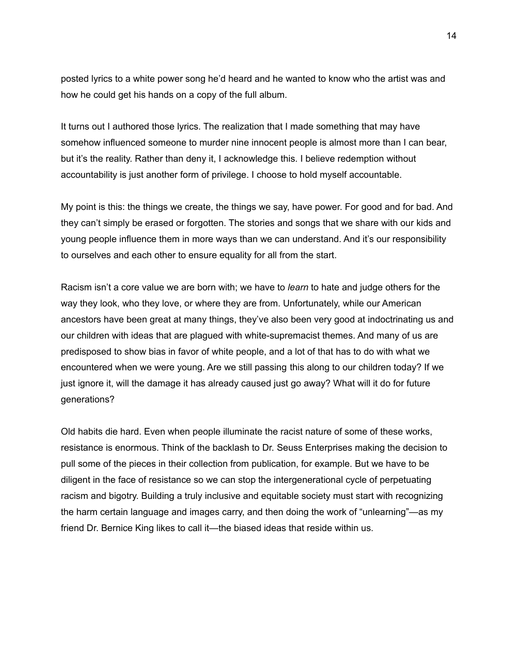posted lyrics to a white power song he'd heard and he wanted to know who the artist was and how he could get his hands on a copy of the full album.

It turns out I authored those lyrics. The realization that I made something that may have somehow influenced someone to murder nine innocent people is almost more than I can bear, but it's the reality. Rather than deny it, I acknowledge this. I believe redemption without accountability is just another form of privilege. I choose to hold myself accountable.

My point is this: the things we create, the things we say, have power. For good and for bad. And they can't simply be erased or forgotten. The stories and songs that we share with our kids and young people influence them in more ways than we can understand. And it's our responsibility to ourselves and each other to ensure equality for all from the start.

Racism isn't a core value we are born with; we have to *learn* to hate and judge others for the way they look, who they love, or where they are from. Unfortunately, while our American ancestors have been great at many things, they've also been very good at indoctrinating us and our children with ideas that are plagued with white-supremacist themes. And many of us are predisposed to show bias in favor of white people, and a lot of that has to do with what we encountered when we were young. Are we still passing this along to our children today? If we just ignore it, will the damage it has already caused just go away? What will it do for future generations?

Old habits die hard. Even when people illuminate the racist nature of some of these works, resistance is enormous. Think of the backlash to Dr. Seuss Enterprises making the decision to pull some of the pieces in their collection from publication, for example. But we have to be diligent in the face of resistance so we can stop the intergenerational cycle of perpetuating racism and bigotry. Building a truly inclusive and equitable society must start with recognizing the harm certain language and images carry, and then doing the work of "unlearning"—as my friend Dr. Bernice King likes to call it—the biased ideas that reside within us.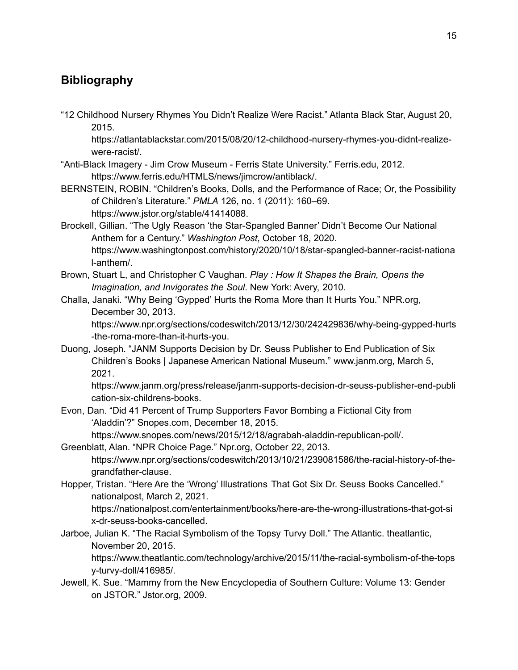## **Bibliography**

"12 Childhood Nursery Rhymes You Didn't Realize Were Racist." Atlanta Black Star, August 20, 2015.

https://atlantablackstar.com/2015/08/20/12-childhood-nursery-rhymes-you-didnt-realizewere-racist/.

- "Anti-Black Imagery Jim Crow Museum Ferris State University." Ferris.edu, 2012. https://www.ferris.edu/HTMLS/news/jimcrow/antiblack/.
- BERNSTEIN, ROBIN. "Children's Books, Dolls, and the Performance of Race; Or, the Possibility of Children's Literature." *PMLA* 126, no. 1 (2011): 160–69. https://www.jstor.org/stable/41414088.
- Brockell, Gillian. "The Ugly Reason 'the Star-Spangled Banner' Didn't Become Our National Anthem for a Century." *Washington Post*, October 18, 2020. https://www.washingtonpost.com/history/2020/10/18/star-spangled-banner-racist-nationa l-anthem/.
- Brown, Stuart L, and Christopher C Vaughan. *Play : How It Shapes the Brain, Opens the Imagination, and Invigorates the Soul*. New York: Avery, 2010.
- Challa, Janaki. "Why Being 'Gypped' Hurts the Roma More than It Hurts You." NPR.org, December 30, 2013.

https://www.npr.org/sections/codeswitch/2013/12/30/242429836/why-being-gypped-hurts -the-roma-more-than-it-hurts-you.

Duong, Joseph. "JANM Supports Decision by Dr. Seuss Publisher to End Publication of Six Children's Books | Japanese American National Museum." www.janm.org, March 5, 2021.

https://www.janm.org/press/release/janm-supports-decision-dr-seuss-publisher-end-publi cation-six-childrens-books.

Evon, Dan. "Did 41 Percent of Trump Supporters Favor Bombing a Fictional City from 'Aladdin'?" Snopes.com, December 18, 2015.

https://www.snopes.com/news/2015/12/18/agrabah-aladdin-republican-poll/.

Greenblatt, Alan. "NPR Choice Page." Npr.org, October 22, 2013.

https://www.npr.org/sections/codeswitch/2013/10/21/239081586/the-racial-history-of-thegrandfather-clause.

Hopper, Tristan. "Here Are the 'Wrong' Illustrations That Got Six Dr. Seuss Books Cancelled." nationalpost, March 2, 2021.

https://nationalpost.com/entertainment/books/here-are-the-wrong-illustrations-that-got-si x-dr-seuss-books-cancelled.

Jarboe, Julian K. "The Racial Symbolism of the Topsy Turvy Doll." The Atlantic. theatlantic, November 20, 2015.

https://www.theatlantic.com/technology/archive/2015/11/the-racial-symbolism-of-the-tops y-turvy-doll/416985/.

Jewell, K. Sue. "Mammy from the New Encyclopedia of Southern Culture: Volume 13: Gender on JSTOR." Jstor.org, 2009.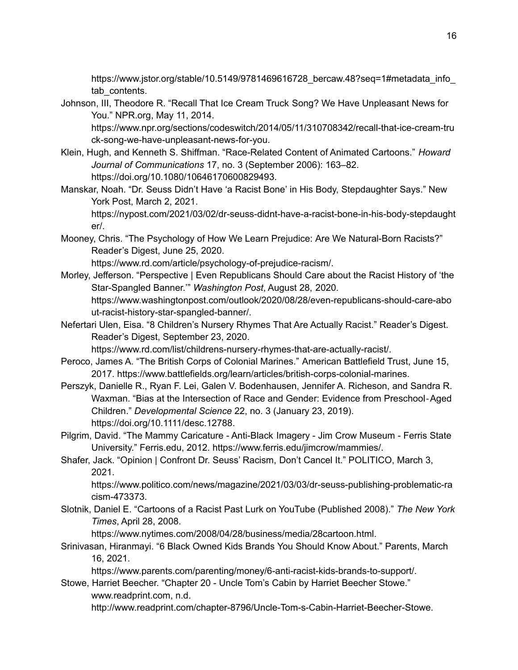https://www.jstor.org/stable/10.5149/9781469616728\_bercaw.48?seq=1#metadata\_info\_ tab contents.

Johnson, III, Theodore R. "Recall That Ice Cream Truck Song? We Have Unpleasant News for You." NPR.org, May 11, 2014.

https://www.npr.org/sections/codeswitch/2014/05/11/310708342/recall-that-ice-cream-tru ck-song-we-have-unpleasant-news-for-you.

- Klein, Hugh, and Kenneth S. Shiffman. "Race-Related Content of Animated Cartoons." *Howard Journal of Communications* 17, no. 3 (September 2006): 163–82. https://doi.org/10.1080/10646170600829493.
- Manskar, Noah. "Dr. Seuss Didn't Have 'a Racist Bone' in His Body, Stepdaughter Says." New York Post, March 2, 2021.

https://nypost.com/2021/03/02/dr-seuss-didnt-have-a-racist-bone-in-his-body-stepdaught er/.

Mooney, Chris. "The Psychology of How We Learn Prejudice: Are We Natural-Born Racists?" Reader's Digest, June 25, 2020.

https://www.rd.com/article/psychology-of-prejudice-racism/.

- Morley, Jefferson. "Perspective | Even Republicans Should Care about the Racist History of 'the Star-Spangled Banner.'" *Washington Post*, August 28, 2020. https://www.washingtonpost.com/outlook/2020/08/28/even-republicans-should-care-abo ut-racist-history-star-spangled-banner/.
- Nefertari Ulen, Eisa. "8 Children's Nursery Rhymes That Are Actually Racist." Reader's Digest. Reader's Digest, September 23, 2020.

https://www.rd.com/list/childrens-nursery-rhymes-that-are-actually-racist/.

- Peroco, James A. "The British Corps of Colonial Marines." American Battlefield Trust, June 15, 2017. https://www.battlefields.org/learn/articles/british-corps-colonial-marines.
- Perszyk, Danielle R., Ryan F. Lei, Galen V. Bodenhausen, Jennifer A. Richeson, and Sandra R. Waxman. "Bias at the Intersection of Race and Gender: Evidence from Preschool‐Aged Children." *Developmental Science* 22, no. 3 (January 23, 2019). https://doi.org/10.1111/desc.12788.
- Pilgrim, David. "The Mammy Caricature Anti-Black Imagery Jim Crow Museum Ferris State University." Ferris.edu, 2012. https://www.ferris.edu/jimcrow/mammies/.
- Shafer, Jack. "Opinion | Confront Dr. Seuss' Racism, Don't Cancel It." POLITICO, March 3, 2021.

https://www.politico.com/news/magazine/2021/03/03/dr-seuss-publishing-problematic-ra cism-473373.

Slotnik, Daniel E. "Cartoons of a Racist Past Lurk on YouTube (Published 2008)." *The New York Times*, April 28, 2008.

https://www.nytimes.com/2008/04/28/business/media/28cartoon.html.

Srinivasan, Hiranmayi. "6 Black Owned Kids Brands You Should Know About." Parents, March 16, 2021.

https://www.parents.com/parenting/money/6-anti-racist-kids-brands-to-support/.

Stowe, Harriet Beecher. "Chapter 20 - Uncle Tom's Cabin by Harriet Beecher Stowe." www.readprint.com, n.d.

http://www.readprint.com/chapter-8796/Uncle-Tom-s-Cabin-Harriet-Beecher-Stowe.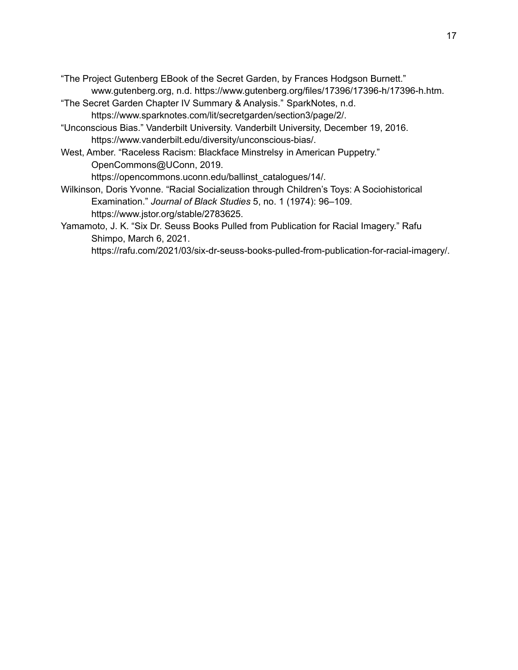"The Project Gutenberg EBook of the Secret Garden, by Frances Hodgson Burnett." www.gutenberg.org, n.d. https://www.gutenberg.org/files/17396/17396-h/17396-h.htm.

- "The Secret Garden Chapter IV Summary & Analysis." SparkNotes, n.d. https://www.sparknotes.com/lit/secretgarden/section3/page/2/.
- "Unconscious Bias." Vanderbilt University. Vanderbilt University, December 19, 2016. https://www.vanderbilt.edu/diversity/unconscious-bias/.
- West, Amber. "Raceless Racism: Blackface Minstrelsy in American Puppetry." OpenCommons@UConn, 2019.

https://opencommons.uconn.edu/ballinst\_catalogues/14/.

- Wilkinson, Doris Yvonne. "Racial Socialization through Children's Toys: A Sociohistorical Examination." *Journal of Black Studies* 5, no. 1 (1974): 96–109. https://www.jstor.org/stable/2783625.
- Yamamoto, J. K. "Six Dr. Seuss Books Pulled from Publication for Racial Imagery." Rafu Shimpo, March 6, 2021.

https://rafu.com/2021/03/six-dr-seuss-books-pulled-from-publication-for-racial-imagery/.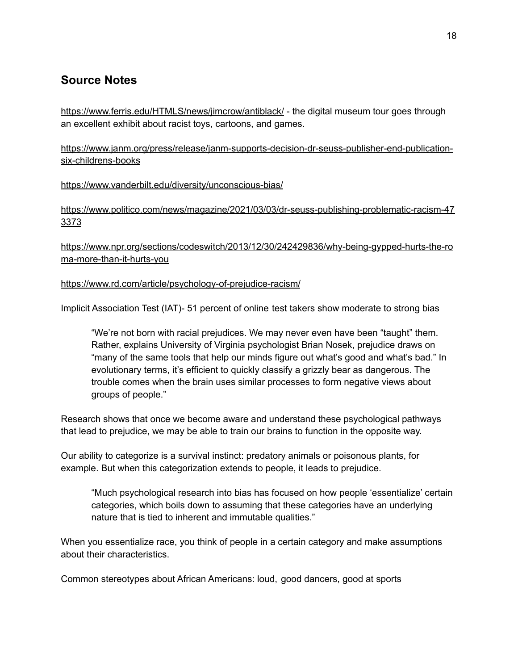## **Source Notes**

<https://www.ferris.edu/HTMLS/news/jimcrow/antiblack/> - the digital museum tour goes through an excellent exhibit about racist toys, cartoons, and games.

[https://www.janm.org/press/release/janm-supports-decision-dr-seuss-publisher-end-publication](https://www.janm.org/press/release/janm-supports-decision-dr-seuss-publisher-end-publication-six-childrens-books)[six-childrens-books](https://www.janm.org/press/release/janm-supports-decision-dr-seuss-publisher-end-publication-six-childrens-books)

#### <https://www.vanderbilt.edu/diversity/unconscious-bias/>

[https://www.politico.com/news/magazine/2021/03/03/dr-seuss-publishing-problematic-racism-47](https://www.politico.com/news/magazine/2021/03/03/dr-seuss-publishing-problematic-racism-473373) [3373](https://www.politico.com/news/magazine/2021/03/03/dr-seuss-publishing-problematic-racism-473373)

[https://www.npr.org/sections/codeswitch/2013/12/30/242429836/why-being-gypped-hurts-the-ro](https://www.npr.org/sections/codeswitch/2013/12/30/242429836/why-being-gypped-hurts-the-roma-more-than-it-hurts-you) [ma-more-than-it-hurts-you](https://www.npr.org/sections/codeswitch/2013/12/30/242429836/why-being-gypped-hurts-the-roma-more-than-it-hurts-you)

#### <https://www.rd.com/article/psychology-of-prejudice-racism/>

Implicit Association Test (IAT)- 51 percent of online test takers show moderate to strong bias

"We're not born with racial prejudices. We may never even have been "taught" them. Rather, explains University of Virginia psychologist Brian Nosek, prejudice draws on "many of the same tools that help our minds figure out what's good and what's bad." In evolutionary terms, it's efficient to quickly classify a grizzly bear as dangerous. The trouble comes when the brain uses similar processes to form negative views about groups of people."

Research shows that once we become aware and understand these psychological pathways that lead to prejudice, we may be able to train our brains to function in the opposite way.

Our ability to categorize is a survival instinct: predatory animals or poisonous plants, for example. But when this categorization extends to people, it leads to prejudice.

"Much psychological research into bias has focused on how people 'essentialize' certain categories, which boils down to assuming that these categories have an underlying nature that is tied to inherent and immutable qualities."

When you essentialize race, you think of people in a certain category and make assumptions about their characteristics.

Common stereotypes about African Americans: loud, good dancers, good at sports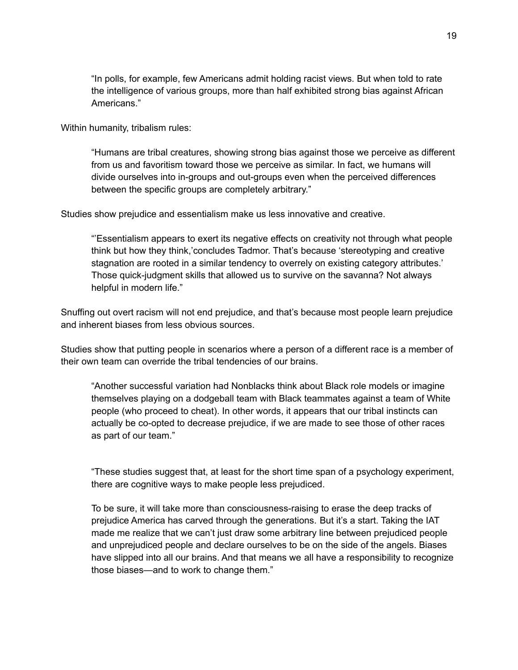"In polls, for example, few Americans admit holding racist views. But when told to rate the intelligence of various groups, more than half exhibited strong bias against African Americans."

Within humanity, tribalism rules:

"Humans are tribal creatures, showing strong bias against those we perceive as different from us and favoritism toward those we perceive as similar. In fact, we humans will divide ourselves into in-groups and out-groups even when the perceived differences between the specific groups are completely arbitrary."

Studies show prejudice and essentialism make us less innovative and creative.

"'Essentialism appears to exert its negative effects on creativity not through what people think but how they think,'concludes Tadmor. That's because 'stereotyping and creative stagnation are rooted in a similar tendency to overrely on existing category attributes.' Those quick-judgment skills that allowed us to survive on the savanna? Not always helpful in modern life."

Snuffing out overt racism will not end prejudice, and that's because most people learn prejudice and inherent biases from less obvious sources.

Studies show that putting people in scenarios where a person of a different race is a member of their own team can override the tribal tendencies of our brains.

"Another successful variation had Nonblacks think about Black role models or imagine themselves playing on a dodgeball team with Black teammates against a team of White people (who proceed to cheat). In other words, it appears that our tribal instincts can actually be co-opted to decrease prejudice, if we are made to see those of other races as part of our team."

"These studies suggest that, at least for the short time span of a psychology experiment, there are cognitive ways to make people less prejudiced.

To be sure, it will take more than consciousness-raising to erase the deep tracks of prejudice America has carved through the generations. But it's a start. Taking the IAT made me realize that we can't just draw some arbitrary line between prejudiced people and unprejudiced people and declare ourselves to be on the side of the angels. Biases have slipped into all our brains. And that means we all have a responsibility to recognize those biases—and to work to change them."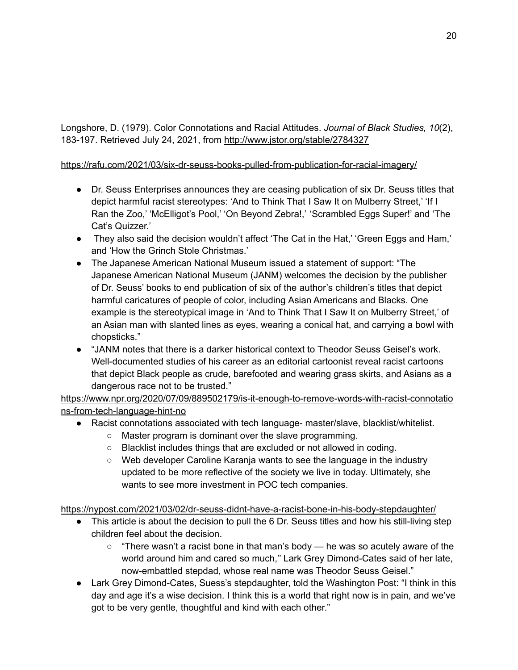Longshore, D. (1979). Color Connotations and Racial Attitudes. *Journal of Black Studies, 10*(2), 183-197. Retrieved July 24, 2021, from <http://www.jstor.org/stable/2784327>

#### <https://rafu.com/2021/03/six-dr-seuss-books-pulled-from-publication-for-racial-imagery/>

- Dr. Seuss Enterprises announces they are ceasing publication of six Dr. Seuss titles that depict harmful racist stereotypes: 'And to Think That I Saw It on Mulberry Street,' 'If I Ran the Zoo,' 'McElligot's Pool,' 'On Beyond Zebra!,' 'Scrambled Eggs Super!' and 'The Cat's Quizzer.'
- They also said the decision wouldn't affect 'The Cat in the Hat,' 'Green Eggs and Ham,' and 'How the Grinch Stole Christmas.'
- The Japanese American National Museum issued a statement of support: "The Japanese American National Museum (JANM) welcomes the decision by the publisher of Dr. Seuss' books to end publication of six of the author's children's titles that depict harmful caricatures of people of color, including Asian Americans and Blacks. One example is the stereotypical image in 'And to Think That I Saw It on Mulberry Street,' of an Asian man with slanted lines as eyes, wearing a conical hat, and carrying a bowl with chopsticks."
- "JANM notes that there is a darker historical context to Theodor Seuss Geisel's work. Well-documented studies of his career as an editorial cartoonist reveal racist cartoons that depict Black people as crude, barefooted and wearing grass skirts, and Asians as a dangerous race not to be trusted."

[https://www.npr.org/2020/07/09/889502179/is-it-enough-to-remove-words-with-racist-connotatio](https://www.npr.org/2020/07/09/889502179/is-it-enough-to-remove-words-with-racist-connotations-from-tech-language-hint-no) [ns-from-tech-language-hint-no](https://www.npr.org/2020/07/09/889502179/is-it-enough-to-remove-words-with-racist-connotations-from-tech-language-hint-no)

- Racist connotations associated with tech language- master/slave, blacklist/whitelist.
	- Master program is dominant over the slave programming.
	- Blacklist includes things that are excluded or not allowed in coding.
	- Web developer Caroline Karanja wants to see the language in the industry updated to be more reflective of the society we live in today. Ultimately, she wants to see more investment in POC tech companies.

<https://nypost.com/2021/03/02/dr-seuss-didnt-have-a-racist-bone-in-his-body-stepdaughter/>

- This article is about the decision to pull the 6 Dr. Seuss titles and how his still-living step children feel about the decision.
	- $\circ$  "There wasn't a racist bone in that man's body he was so acutely aware of the world around him and cared so much,'' Lark Grey Dimond-Cates said of her late, now-embattled stepdad, whose real name was Theodor Seuss Geisel."
- Lark Grey Dimond-Cates, Suess's stepdaughter, told the Washington Post: "I think in this day and age it's a wise decision. I think this is a world that right now is in pain, and we've got to be very gentle, thoughtful and kind with each other."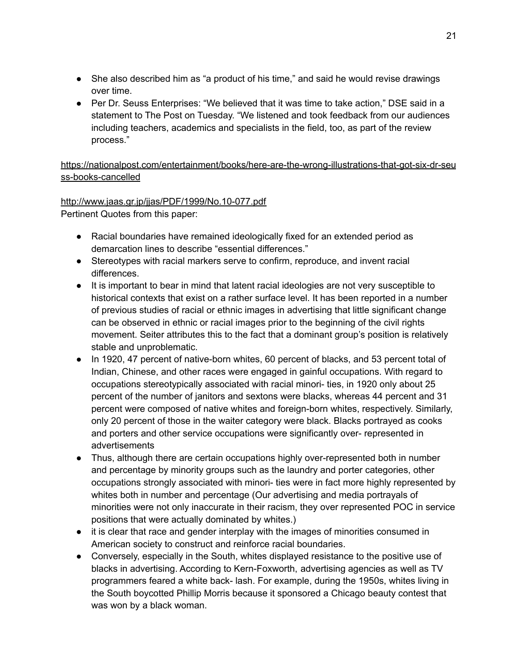- She also described him as "a product of his time," and said he would revise drawings over time.
- Per Dr. Seuss Enterprises: "We believed that it was time to take action," DSE said in a statement to The Post on Tuesday. "We listened and took feedback from our audiences including teachers, academics and specialists in the field, too, as part of the review process."

[https://nationalpost.com/entertainment/books/here-are-the-wrong-illustrations-that-got-six-dr-seu](https://nationalpost.com/entertainment/books/here-are-the-wrong-illustrations-that-got-six-dr-seuss-books-cancelled) [ss-books-cancelled](https://nationalpost.com/entertainment/books/here-are-the-wrong-illustrations-that-got-six-dr-seuss-books-cancelled)

<http://www.jaas.gr.jp/jjas/PDF/1999/No.10-077.pdf> Pertinent Quotes from this paper:

- Racial boundaries have remained ideologically fixed for an extended period as demarcation lines to describe "essential differences."
- Stereotypes with racial markers serve to confirm, reproduce, and invent racial differences.
- It is important to bear in mind that latent racial ideologies are not very susceptible to historical contexts that exist on a rather surface level. It has been reported in a number of previous studies of racial or ethnic images in advertising that little significant change can be observed in ethnic or racial images prior to the beginning of the civil rights movement. Seiter attributes this to the fact that a dominant group's position is relatively stable and unproblematic.
- In 1920, 47 percent of native-born whites, 60 percent of blacks, and 53 percent total of Indian, Chinese, and other races were engaged in gainful occupations. With regard to occupations stereotypically associated with racial minori- ties, in 1920 only about 25 percent of the number of janitors and sextons were blacks, whereas 44 percent and 31 percent were composed of native whites and foreign-born whites, respectively. Similarly, only 20 percent of those in the waiter category were black. Blacks portrayed as cooks and porters and other service occupations were significantly over- represented in advertisements
- Thus, although there are certain occupations highly over-represented both in number and percentage by minority groups such as the laundry and porter categories, other occupations strongly associated with minori- ties were in fact more highly represented by whites both in number and percentage (Our advertising and media portrayals of minorities were not only inaccurate in their racism, they over represented POC in service positions that were actually dominated by whites.)
- it is clear that race and gender interplay with the images of minorities consumed in American society to construct and reinforce racial boundaries.
- Conversely, especially in the South, whites displayed resistance to the positive use of blacks in advertising. According to Kern-Foxworth, advertising agencies as well as TV programmers feared a white back- lash. For example, during the 1950s, whites living in the South boycotted Phillip Morris because it sponsored a Chicago beauty contest that was won by a black woman.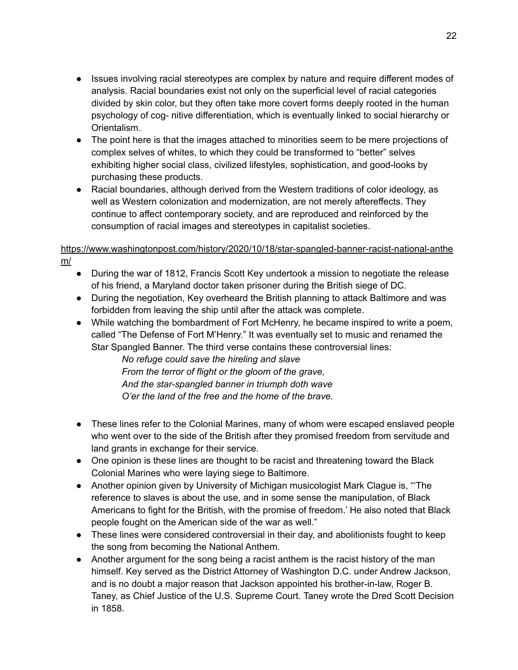- Issues involving racial stereotypes are complex by nature and require different modes of analysis. Racial boundaries exist not only on the superficial level of racial categories divided by skin color, but they often take more covert forms deeply rooted in the human psychology of cog- nitive differentiation, which is eventually linked to social hierarchy or Orientalism.
- The point here is that the images attached to minorities seem to be mere projections of complex selves of whites, to which they could be transformed to "better" selves exhibiting higher social class, civilized lifestyles, sophistication, and good-looks by purchasing these products.
- Racial boundaries, although derived from the Western traditions of color ideology, as well as Western colonization and modernization, are not merely aftereffects. They continue to affect contemporary society, and are reproduced and reinforced by the consumption of racial images and stereotypes in capitalist societies.

#### [https://www.washingtonpost.com/history/2020/10/18/star-spangled-banner-racist-national-anthe](https://www.washingtonpost.com/history/2020/10/18/star-spangled-banner-racist-national-anthem/) [m/](https://www.washingtonpost.com/history/2020/10/18/star-spangled-banner-racist-national-anthem/)

- During the war of 1812, Francis Scott Key undertook a mission to negotiate the release of his friend, a Maryland doctor taken prisoner during the British siege of DC.
- During the negotiation, Key overheard the British planning to attack Baltimore and was forbidden from leaving the ship until after the attack was complete.
- While watching the bombardment of Fort McHenry, he became inspired to write a poem, called "The Defense of Fort M'Henry." It was eventually set to music and renamed the Star Spangled Banner. The third verse contains these controversial lines:

*No refuge could save the hireling and slave From the terror of flight or the gloom of the grave, And the star-spangled banner in triumph doth wave O'er the land of the free and the home of the brave.*

- These lines refer to the Colonial Marines, many of whom were escaped enslaved people who went over to the side of the British after they promised freedom from servitude and land grants in exchange for their service.
- One opinion is these lines are thought to be racist and threatening toward the Black Colonial Marines who were laying siege to Baltimore.
- Another opinion given by University of Michigan musicologist Mark Clague is, "'The reference to slaves is about the use, and in some sense the manipulation, of Black Americans to fight for the British, with the promise of freedom.' He also noted that Black people fought on the American side of the war as well."
- These lines were considered controversial in their day, and abolitionists fought to keep the song from becoming the National Anthem.
- Another argument for the song being a racist anthem is the racist history of the man himself. Key served as the District Attorney of Washington D.C. under Andrew Jackson, and is no doubt a major reason that Jackson appointed his brother-in-law, Roger B. Taney, as Chief Justice of the U.S. Supreme Court. Taney wrote the Dred Scott Decision in 1858.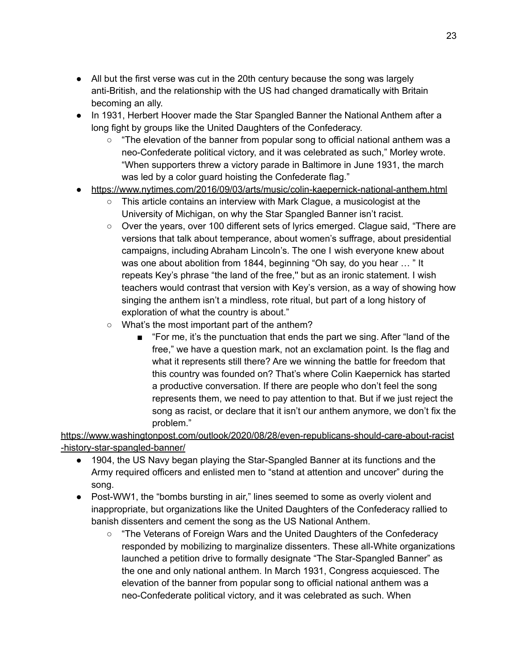- All but the first verse was cut in the 20th century because the song was largely anti-British, and the relationship with the US had changed dramatically with Britain becoming an ally.
- In 1931, Herbert Hoover made the Star Spangled Banner the National Anthem after a long fight by groups like the United Daughters of the Confederacy.
	- $\circ$  "The elevation of the banner from popular song to official national anthem was a neo-Confederate political victory, and it was celebrated as such," Morley wrote. "When supporters threw a victory parade in Baltimore in June 1931, the march was led by a color guard hoisting the Confederate flag."
- <https://www.nytimes.com/2016/09/03/arts/music/colin-kaepernick-national-anthem.html>
	- This article contains an interview with Mark Clague, a musicologist at the University of Michigan, on why the Star Spangled Banner isn't racist.
	- Over the years, over 100 different sets of lyrics emerged. Clague said, "There are versions that talk about temperance, about women's suffrage, about presidential campaigns, including Abraham Lincoln's. The one I wish everyone knew about was one about abolition from 1844, beginning "Oh say, do you hear … " It repeats Key's phrase "the land of the free,'' but as an ironic statement. I wish teachers would contrast that version with Key's version, as a way of showing how singing the anthem isn't a mindless, rote ritual, but part of a long history of exploration of what the country is about."
	- What's the most important part of the anthem?
		- "For me, it's the punctuation that ends the part we sing. After "land of the free," we have a question mark, not an exclamation point. Is the flag and what it represents still there? Are we winning the battle for freedom that this country was founded on? That's where Colin Kaepernick has started a productive conversation. If there are people who don't feel the song represents them, we need to pay attention to that. But if we just reject the song as racist, or declare that it isn't our anthem anymore, we don't fix the problem."

[https://www.washingtonpost.com/outlook/2020/08/28/even-republicans-should-care-about-racist](https://www.washingtonpost.com/outlook/2020/08/28/even-republicans-should-care-about-racist-history-star-spangled-banner/) [-history-star-spangled-banner/](https://www.washingtonpost.com/outlook/2020/08/28/even-republicans-should-care-about-racist-history-star-spangled-banner/)

- 1904, the US Navy began playing the Star-Spangled Banner at its functions and the Army required officers and enlisted men to "stand at attention and uncover" during the song.
- Post-WW1, the "bombs bursting in air," lines seemed to some as overly violent and inappropriate, but organizations like the United Daughters of the Confederacy rallied to banish dissenters and cement the song as the US National Anthem.
	- "The Veterans of Foreign Wars and the United Daughters of the Confederacy responded by mobilizing to marginalize dissenters. These all-White organizations launched a petition drive to formally designate "The Star-Spangled Banner" as the one and only national anthem. In March 1931, Congress acquiesced. The elevation of the banner from popular song to official national anthem was a neo-Confederate political victory, and it was celebrated as such. When